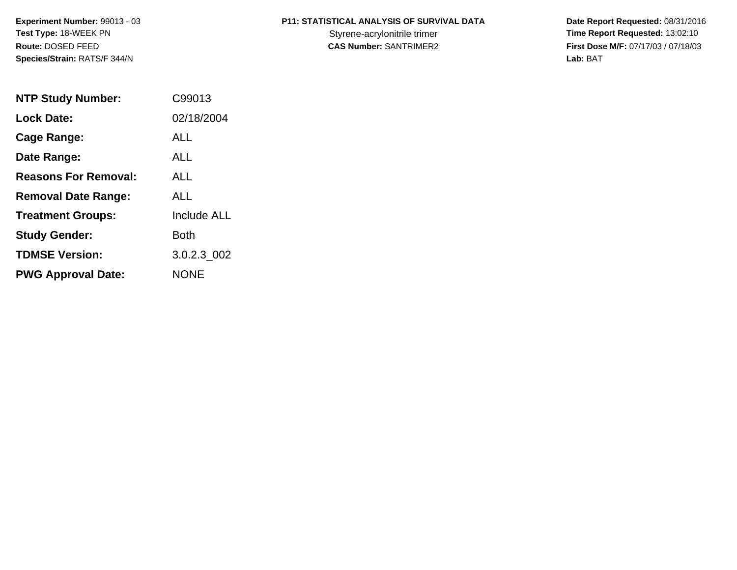**Experiment Number:** 99013 - 03**Test Type:** 18-WEEK PN**Route:** DOSED FEED**Species/Strain:** RATS/F 344/N

# **P11: STATISTICAL ANALYSIS OF SURVIVAL DATA**

 **Date Report Requested:** 08/31/2016 Styrene-acrylonitrile trimer<br>
CAS Number: SANTRIMER2<br>
CAS Number: SANTRIMER2<br>
Tirst Dose M/F: 07/17/03 / 07/18/03 **First Dose M/F:** 07/17/03 / 07/18/03<br>Lab: BAT **Lab:** BAT

| <b>NTP Study Number:</b>    | C99013             |
|-----------------------------|--------------------|
| <b>Lock Date:</b>           | 02/18/2004         |
| Cage Range:                 | ALL                |
| Date Range:                 | ALL                |
| <b>Reasons For Removal:</b> | ALL                |
| <b>Removal Date Range:</b>  | ALL                |
| <b>Treatment Groups:</b>    | <b>Include ALL</b> |
| <b>Study Gender:</b>        | Both               |
| <b>TDMSE Version:</b>       | 3.0.2.3 002        |
| <b>PWG Approval Date:</b>   | <b>NONE</b>        |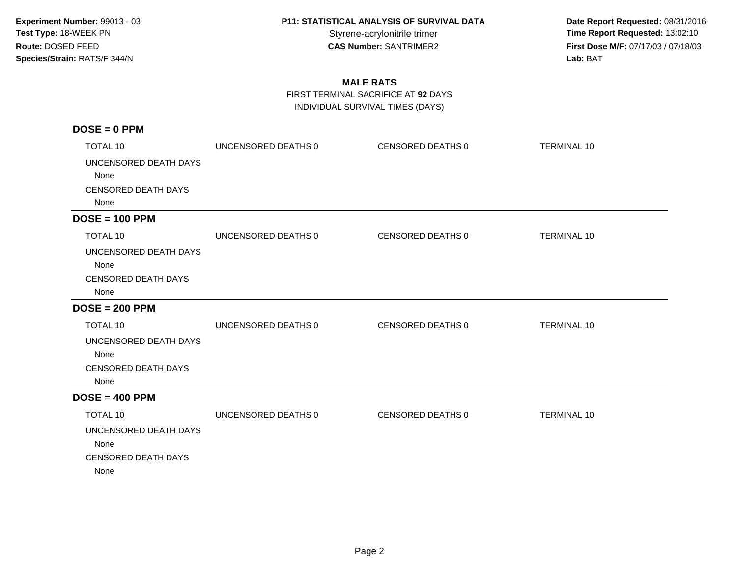**Date Report Requested:** 08/31/2016 Styrene-acrylonitrile trimer<br>
CAS Number: SANTRIMER2<br>
CAS Number: SANTRIMER2<br>
Tirst Dose M/F: 07/17/03 / 07/18/03 **First Dose M/F:** 07/17/03 / 07/18/03<br>Lab: BAT **Lab:** BAT

## **MALE RATS**

FIRST TERMINAL SACRIFICE AT **92** DAYS

INDIVIDUAL SURVIVAL TIMES (DAYS)

| $DOSE = 0$ PPM             |                     |                   |                    |
|----------------------------|---------------------|-------------------|--------------------|
| <b>TOTAL 10</b>            | UNCENSORED DEATHS 0 | CENSORED DEATHS 0 | <b>TERMINAL 10</b> |
| UNCENSORED DEATH DAYS      |                     |                   |                    |
| None                       |                     |                   |                    |
| <b>CENSORED DEATH DAYS</b> |                     |                   |                    |
| None                       |                     |                   |                    |
| $DOSE = 100$ PPM           |                     |                   |                    |
| <b>TOTAL 10</b>            | UNCENSORED DEATHS 0 | CENSORED DEATHS 0 | <b>TERMINAL 10</b> |
| UNCENSORED DEATH DAYS      |                     |                   |                    |
| None                       |                     |                   |                    |
| <b>CENSORED DEATH DAYS</b> |                     |                   |                    |
| None                       |                     |                   |                    |
| $DOSE = 200$ PPM           |                     |                   |                    |
| <b>TOTAL 10</b>            | UNCENSORED DEATHS 0 | CENSORED DEATHS 0 | <b>TERMINAL 10</b> |
| UNCENSORED DEATH DAYS      |                     |                   |                    |
| None                       |                     |                   |                    |
| <b>CENSORED DEATH DAYS</b> |                     |                   |                    |
| None                       |                     |                   |                    |
| $DOSE = 400$ PPM           |                     |                   |                    |
| TOTAL 10                   | UNCENSORED DEATHS 0 | CENSORED DEATHS 0 | <b>TERMINAL 10</b> |
| UNCENSORED DEATH DAYS      |                     |                   |                    |
| None                       |                     |                   |                    |
| <b>CENSORED DEATH DAYS</b> |                     |                   |                    |
| None                       |                     |                   |                    |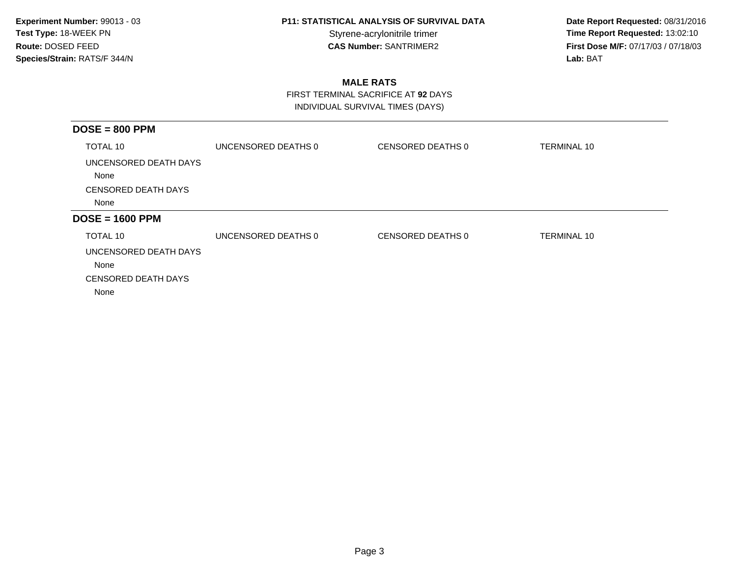**Date Report Requested:** 08/31/2016 Styrene-acrylonitrile trimer<br> **CAS Number:** SANTRIMER2 **Time Report Requested:** 13:02:10<br> **Time Report Requested:** 13:02:10 **First Dose M/F:** 07/17/03 / 07/18/03<br>Lab: BAT **Lab:** BAT

## **MALE RATS**

 FIRST TERMINAL SACRIFICE AT **92** DAYSINDIVIDUAL SURVIVAL TIMES (DAYS)

| TOTAL 10<br>UNCENSORED DEATHS 0<br>CENSORED DEATHS 0<br><b>TERMINAL 10</b><br>UNCENSORED DEATH DAYS<br>None<br><b>CENSORED DEATH DAYS</b><br>None<br>TOTAL 10<br>UNCENSORED DEATHS 0<br>CENSORED DEATHS 0<br><b>TERMINAL 10</b><br>UNCENSORED DEATH DAYS<br>None<br><b>CENSORED DEATH DAYS</b> |                  |  |  |
|------------------------------------------------------------------------------------------------------------------------------------------------------------------------------------------------------------------------------------------------------------------------------------------------|------------------|--|--|
| $DOSE = 1600$ PPM                                                                                                                                                                                                                                                                              | $DOSE = 800$ PPM |  |  |
|                                                                                                                                                                                                                                                                                                |                  |  |  |
|                                                                                                                                                                                                                                                                                                |                  |  |  |
|                                                                                                                                                                                                                                                                                                |                  |  |  |
|                                                                                                                                                                                                                                                                                                |                  |  |  |
|                                                                                                                                                                                                                                                                                                |                  |  |  |
|                                                                                                                                                                                                                                                                                                |                  |  |  |
|                                                                                                                                                                                                                                                                                                |                  |  |  |
|                                                                                                                                                                                                                                                                                                |                  |  |  |
|                                                                                                                                                                                                                                                                                                | None             |  |  |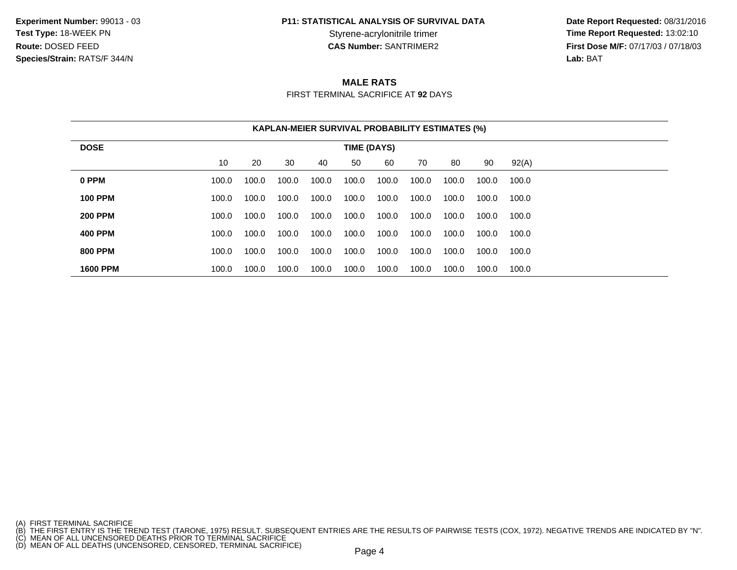**Experiment Number:** 99013 - 03**Test Type:** 18-WEEK PN**Route:** DOSED FEED**Species/Strain:** RATS/F 344/N

# **P11: STATISTICAL ANALYSIS OF SURVIVAL DATA**

 **Date Report Requested:** 08/31/2016 Styrene-acrylonitrile trimer<br> **CAS Number:** SANTRIMER2<br> **CAS Number:** SANTRIMER2<br> **Time Report Requested:** 13:02:10<br> **First Dose M/F:** 07/17/03 / 07/18/03 **First Dose M/F:** 07/17/03 / 07/18/03<br>**Lab:** BAT **Lab:** BAT

## **MALE RATS**

FIRST TERMINAL SACRIFICE AT **92** DAYS

|                 | <b>KAPLAN-MEIER SURVIVAL PROBABILITY ESTIMATES (%)</b> |       |       |       |       |       |       |       |       |       |  |
|-----------------|--------------------------------------------------------|-------|-------|-------|-------|-------|-------|-------|-------|-------|--|
| <b>DOSE</b>     | <b>TIME (DAYS)</b>                                     |       |       |       |       |       |       |       |       |       |  |
|                 | 10                                                     | 20    | 30    | 40    | 50    | 60    | 70    | 80    | 90    | 92(A) |  |
| 0 PPM           | 100.0                                                  | 100.0 | 100.0 | 100.0 | 100.0 | 100.0 | 100.0 | 100.0 | 100.0 | 100.0 |  |
| <b>100 PPM</b>  | 100.0                                                  | 100.0 | 100.0 | 100.0 | 100.0 | 100.0 | 100.0 | 100.0 | 100.0 | 100.0 |  |
| <b>200 PPM</b>  | 100.0                                                  | 100.0 | 100.0 | 100.0 | 100.0 | 100.0 | 100.0 | 100.0 | 100.0 | 100.0 |  |
| <b>400 PPM</b>  | 100.0                                                  | 100.0 | 100.0 | 100.0 | 100.0 | 100.0 | 100.0 | 100.0 | 100.0 | 100.0 |  |
| <b>800 PPM</b>  | 100.0                                                  | 100.0 | 100.0 | 100.0 | 100.0 | 100.0 | 100.0 | 100.0 | 100.0 | 100.0 |  |
| <b>1600 PPM</b> | 100.0                                                  | 100.0 | 100.0 | 100.0 | 100.0 | 100.0 | 100.0 | 100.0 | 100.0 | 100.0 |  |

<sup>(</sup>A) FIRST TERMINAL SACRIFICE<br>(B) THE FIRST ENTRY IS THE TREND TEST (TARONE, 1975) RESULT. SUBSEQUENT ENTRIES ARE THE RESULTS OF PAIRWISE TESTS (COX, 1972). NEGATIVE TRENDS ARE INDICATED BY "N".<br>(C) MEAN OF ALL UNCENSORED D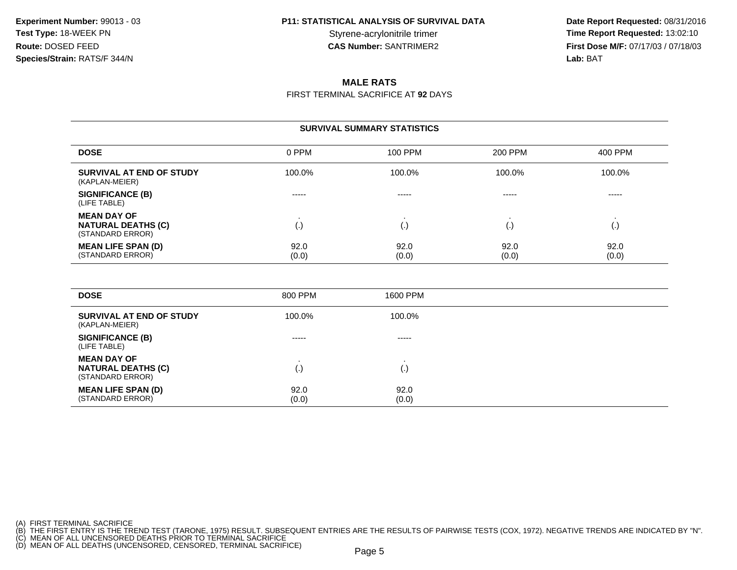**Date Report Requested:** 08/31/2016 Styrene-acrylonitrile trimer<br> **CAS Number:** SANTRIMER2<br> **CAS Number:** SANTRIMER2<br> **Time Report Requested:** 13:02:10<br> **First Dose M/F:** 07/17/03 / 07/18/03 **First Dose M/F:** 07/17/03 / 07/18/03<br>**Lab:** BAT **Lab:** BAT

### **MALE RATS**

FIRST TERMINAL SACRIFICE AT **92** DAYS

#### **SURVIVAL SUMMARY STATISTICS**

| <b>DOSE</b>                                                         | 0 PPM         | 100 PPM       | 200 PPM       | 400 PPM       |
|---------------------------------------------------------------------|---------------|---------------|---------------|---------------|
| SURVIVAL AT END OF STUDY<br>(KAPLAN-MEIER)                          | 100.0%        | 100.0%        | 100.0%        | 100.0%        |
| <b>SIGNIFICANCE (B)</b><br>(LIFE TABLE)                             | -----         | -----         | -----         | $- - - - -$   |
| <b>MEAN DAY OF</b><br><b>NATURAL DEATHS (C)</b><br>(STANDARD ERROR) | (.)           | ١.            |               | ι٠,           |
| <b>MEAN LIFE SPAN (D)</b><br>(STANDARD ERROR)                       | 92.0<br>(0.0) | 92.0<br>(0.0) | 92.0<br>(0.0) | 92.0<br>(0.0) |

| <b>DOSE</b>                                                         | 800 PPM       | 1600 PPM           |  |
|---------------------------------------------------------------------|---------------|--------------------|--|
| SURVIVAL AT END OF STUDY<br>(KAPLAN-MEIER)                          | 100.0%        | 100.0%             |  |
| <b>SIGNIFICANCE (B)</b><br>(LIFE TABLE)                             | -----         | -----              |  |
| <b>MEAN DAY OF</b><br><b>NATURAL DEATHS (C)</b><br>(STANDARD ERROR) | (.)           | $\left( . \right)$ |  |
| <b>MEAN LIFE SPAN (D)</b><br>(STANDARD ERROR)                       | 92.0<br>(0.0) | 92.0<br>(0.0)      |  |

<sup>(</sup>A) FIRST TERMINAL SACRIFICE<br>(B) THE FIRST ENTRY IS THE TREND TEST (TARONE, 1975) RESULT. SUBSEQUENT ENTRIES ARE THE RESULTS OF PAIRWISE TESTS (COX, 1972). NEGATIVE TRENDS ARE INDICATED BY "N".<br>(C) MEAN OF ALL UNCENSORED D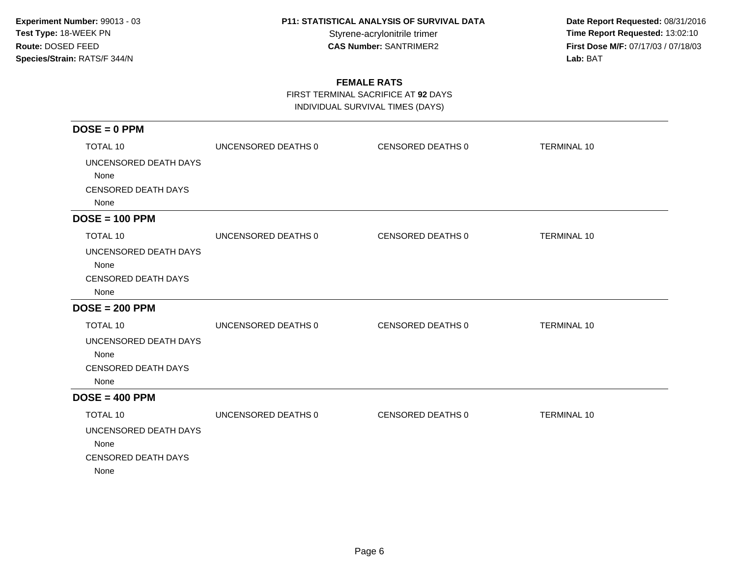**Date Report Requested:** 08/31/2016 Styrene-acrylonitrile trimer<br>
CAS Number: SANTRIMER2<br>
CAS Number: SANTRIMER2<br>
Tirst Dose M/F: 07/17/03 / 07/18/03 **First Dose M/F:** 07/17/03 / 07/18/03<br>Lab: BAT **Lab:** BAT

### **FEMALE RATS**

FIRST TERMINAL SACRIFICE AT **92** DAYS

INDIVIDUAL SURVIVAL TIMES (DAYS)

| $DOSE = 0$ PPM             |                     |                   |                    |
|----------------------------|---------------------|-------------------|--------------------|
| TOTAL 10                   | UNCENSORED DEATHS 0 | CENSORED DEATHS 0 | <b>TERMINAL 10</b> |
| UNCENSORED DEATH DAYS      |                     |                   |                    |
| None                       |                     |                   |                    |
| <b>CENSORED DEATH DAYS</b> |                     |                   |                    |
| None                       |                     |                   |                    |
| $DOSE = 100$ PPM           |                     |                   |                    |
| TOTAL 10                   | UNCENSORED DEATHS 0 | CENSORED DEATHS 0 | <b>TERMINAL 10</b> |
| UNCENSORED DEATH DAYS      |                     |                   |                    |
| None                       |                     |                   |                    |
| <b>CENSORED DEATH DAYS</b> |                     |                   |                    |
| None                       |                     |                   |                    |
| $DOSE = 200$ PPM           |                     |                   |                    |
| <b>TOTAL 10</b>            | UNCENSORED DEATHS 0 | CENSORED DEATHS 0 | <b>TERMINAL 10</b> |
| UNCENSORED DEATH DAYS      |                     |                   |                    |
| None                       |                     |                   |                    |
| <b>CENSORED DEATH DAYS</b> |                     |                   |                    |
| None                       |                     |                   |                    |
| $DOSE = 400$ PPM           |                     |                   |                    |
| TOTAL 10                   | UNCENSORED DEATHS 0 | CENSORED DEATHS 0 | <b>TERMINAL 10</b> |
| UNCENSORED DEATH DAYS      |                     |                   |                    |
| None                       |                     |                   |                    |
| <b>CENSORED DEATH DAYS</b> |                     |                   |                    |
| None                       |                     |                   |                    |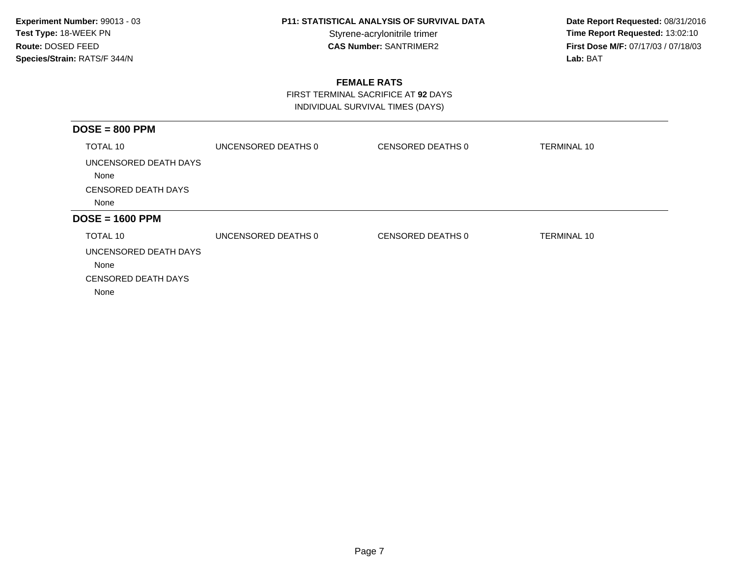**Date Report Requested:** 08/31/2016 Styrene-acrylonitrile trimer<br> **CAS Number:** SANTRIMER2 **Time Report Requested:** 13:02:10<br> **Time Report Requested:** 13:02:10 **First Dose M/F:** 07/17/03 / 07/18/03<br>Lab: BAT **Lab:** BAT

### **FEMALE RATS**

 FIRST TERMINAL SACRIFICE AT **92** DAYSINDIVIDUAL SURVIVAL TIMES (DAYS)

| $DOSE = 800$ PPM              |                     |                   |                    |
|-------------------------------|---------------------|-------------------|--------------------|
| TOTAL 10                      | UNCENSORED DEATHS 0 | CENSORED DEATHS 0 | TERMINAL 10        |
| UNCENSORED DEATH DAYS<br>None |                     |                   |                    |
| <b>CENSORED DEATH DAYS</b>    |                     |                   |                    |
| None                          |                     |                   |                    |
| $DOSE = 1600$ PPM             |                     |                   |                    |
| TOTAL 10                      | UNCENSORED DEATHS 0 | CENSORED DEATHS 0 | <b>TERMINAL 10</b> |
| UNCENSORED DEATH DAYS         |                     |                   |                    |
| None                          |                     |                   |                    |
| <b>CENSORED DEATH DAYS</b>    |                     |                   |                    |
| None                          |                     |                   |                    |
|                               |                     |                   |                    |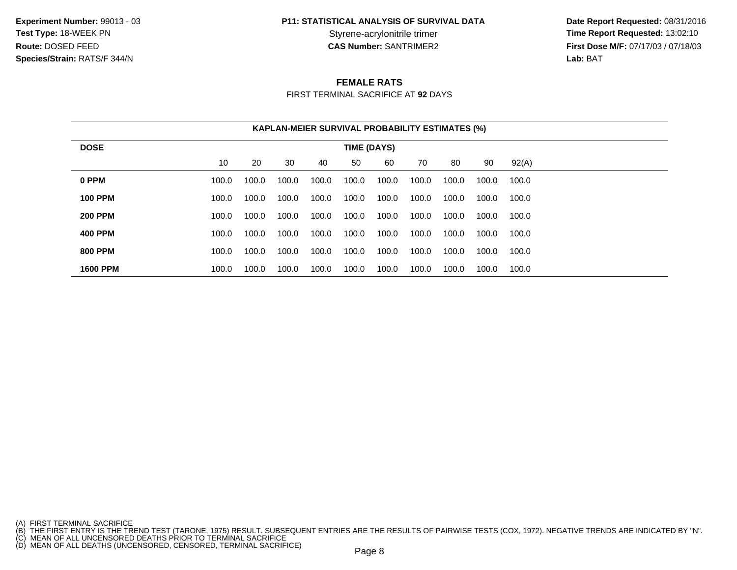**Experiment Number:** 99013 - 03**Test Type:** 18-WEEK PN**Route:** DOSED FEED**Species/Strain:** RATS/F 344/N

# **P11: STATISTICAL ANALYSIS OF SURVIVAL DATA**

 **Date Report Requested:** 08/31/2016 Styrene-acrylonitrile trimer<br> **CAS Number:** SANTRIMER2<br> **CAS Number:** SANTRIMER2<br> **Time Report Requested:** 13:02:10<br> **First Dose M/F:** 07/17/03 / 07/18/03 **First Dose M/F:** 07/17/03 / 07/18/03<br>**Lab:** BAT **Lab:** BAT

#### **FEMALE RATS**

FIRST TERMINAL SACRIFICE AT **92** DAYS

|                                   | <b>KAPLAN-MEIER SURVIVAL PROBABILITY ESTIMATES (%)</b> |       |       |       |       |       |       |       |       |       |  |
|-----------------------------------|--------------------------------------------------------|-------|-------|-------|-------|-------|-------|-------|-------|-------|--|
| <b>DOSE</b><br><b>TIME (DAYS)</b> |                                                        |       |       |       |       |       |       |       |       |       |  |
|                                   | 10                                                     | 20    | 30    | 40    | 50    | 60    | 70    | 80    | 90    | 92(A) |  |
| 0 PPM                             | 100.0                                                  | 100.0 | 100.0 | 100.0 | 100.0 | 100.0 | 100.0 | 100.0 | 100.0 | 100.0 |  |
| <b>100 PPM</b>                    | 100.0                                                  | 100.0 | 100.0 | 100.0 | 100.0 | 100.0 | 100.0 | 100.0 | 100.0 | 100.0 |  |
| <b>200 PPM</b>                    | 100.0                                                  | 100.0 | 100.0 | 100.0 | 100.0 | 100.0 | 100.0 | 100.0 | 100.0 | 100.0 |  |
| <b>400 PPM</b>                    | 100.0                                                  | 100.0 | 100.0 | 100.0 | 100.0 | 100.0 | 100.0 | 100.0 | 100.0 | 100.0 |  |
| <b>800 PPM</b>                    | 100.0                                                  | 100.0 | 100.0 | 100.0 | 100.0 | 100.0 | 100.0 | 100.0 | 100.0 | 100.0 |  |
| <b>1600 PPM</b>                   | 100.0                                                  | 100.0 | 100.0 | 100.0 | 100.0 | 100.0 | 100.0 | 100.0 | 100.0 | 100.0 |  |

- 
- 

<sup>(</sup>A) FIRST TERMINAL SACRIFICE<br>(B) THE FIRST ENTRY IS THE TREND TEST (TARONE, 1975) RESULT. SUBSEQUENT ENTRIES ARE THE RESULTS OF PAIRWISE TESTS (COX, 1972). NEGATIVE TRENDS ARE INDICATED BY "N".<br>(C) MEAN OF ALL UNCENSORED D